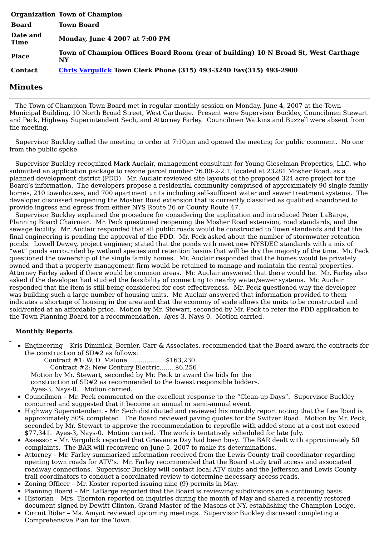|                         | <b>Organization Town of Champion</b>                                                      |
|-------------------------|-------------------------------------------------------------------------------------------|
| <b>Board</b>            | <b>Town Board</b>                                                                         |
| Date and<br><b>Time</b> | Monday, June 4 2007 at 7:00 PM                                                            |
| <b>Place</b>            | Town of Champion Offices Board Room (rear of building) 10 N Broad St, West Carthage<br>NY |
| <b>Contact</b>          | <b>Chris Vargulick Town Clerk Phone (315) 493-3240 Fax(315) 493-2900</b>                  |

## **Minutes**

The Town of Champion Town Board met in regular monthly session on Monday, June 4, 2007 at the Town Municipal Building, 10 North Broad Street, West Carthage. Present were Supervisor Buckley, Councilmen Stewart and Peck, Highway Superintendent Sech, and Attorney Farley. Councilmen Watkins and Buzzell were absent from the meeting.

Supervisor Buckley called the meeting to order at 7:10pm and opened the meeting for public comment. No one from the public spoke.

Supervisor Buckley recognized Mark Auclair, management consultant for Young Gieselman Properties, LLC, who submitted an application package to rezone parcel number 76.00-2-2.1, located at 23281 Mosher Road, as a planned development district (PDD). Mr. Auclair reviewed site layouts of the proposed 324 acre project for the Board's information. The developers propose a residential community comprised of approximately 90 single family homes, 210 townhouses, and 700 apartment units including self-sufficent water and sewer treatment systems. The developer discussed reopening the Mosher Road extension that is currently classified as qualified abandoned to provide ingress and egress from either NYS Route 26 or County Route 47.

Supervisor Buckley explained the procedure for considering the application and introduced Peter LaBarge, Planning Board Chairman. Mr. Peck questioned reopening the Mosher Road extension, road standards, and the sewage facility. Mr. Auclair responded that all public roads would be constructed to Town standards and that the final engineering is pending the approval of the PDD. Mr. Peck asked about the number of stormwater retention ponds. Lowell Dewey, project engineer, stated that the ponds with meet new NYSDEC standards with a mix of "wet" ponds surrounded by wetland species and retention basins that will be dry the majority of the time. Mr. Peck questioned the ownership of the single family homes. Mr. Auclair responded that the homes would be privately owned and that a property management firm would be retained to manage and maintain the rental properties. Attorney Farley asked if there would be common areas. Mr. Auclair answered that there would be. Mr. Farley also asked if the developer had studied the feasibility of connecting to nearby water/sewer systems. Mr. Auclair responded that the item is still being considered for cost effectiveness. Mr. Peck questioned why the developer was building such a large number of housing units. Mr. Auclair answered that information provided to them indicates a shortage of housing in the area and that the economy of scale allows the units to be constructed and sold/rented at an affordable price. Motion by Mr. Stewart, seconded by Mr. Peck to refer the PDD application to the Town Planning Board for a recommendation. Ayes-3, Nays-0. Motion carried.

## **Monthly Reports**

- Engineering Kris Dimmick, Bernier, Carr & Associates, recommended that the Board award the contracts for the construction of SD#2 as follows:
	- Contract #1: W. D. Malone....................\$163,230
		- Contract #2: New Century Electric........\$6,256

Motion by Mr. Stewart, seconded by Mr. Peck to award the bids for the

- construction of SD#2 as recommended to the lowest responsible bidders. Ayes-3, Nays-0. Motion carried.
- Councilmen Mr. Peck commented on the excellent response to the "Clean-up Days". Supervisor Buckley concurred and suggested that it become an annual or semi-annual event.
- Highway Superintendent Mr. Sech distributed and reviewed his monthly report noting that the Lee Road is approximately 50% completed. The Board reviewed paving quotes for the Switzer Road. Motion by Mr. Peck, seconded by Mr. Stewart to approve the recommendation to reprofile with added stone at a cost not exceed \$77,341. Ayes-3, Nays-0. Motion carried. The work is tentatively scheduled for late July.
- Assessor Mr. Vargulick reported that Grievance Day had been busy. The BAR dealt with approximately 50 complaints. The BAR will reconvene on June 5, 2007 to make its determinations.
- Attorney Mr. Farley summarized information received from the Lewis County trail coordinator regarding opening town roads for ATV's. Mr. Farley recommended that the Board study trail access and associated roadway connections. Supervisor Buckley will contact local ATV clubs and the Jefferson and Lewis County trail coordinators to conduct a coordinated review to determine necessary access roads.
- Zoning Officer Mr. Koster reported issuing nine (9) permits in May.
- Planning Board Mr. LaBarge reported that the Board is reviewing subdivisions on a continuing basis.
- Historian Mrs. Thornton reported on inquiries during the month of May and shared a recently restored document signed by Dewitt Clinton, Grand Master of the Masons of NY, establishing the Champion Lodge.
- Circuit Rider Ms. Amyot reviewed upcoming meetings. Supervisor Buckley discussed completing a  $\bullet$ Comprehensive Plan for the Town.